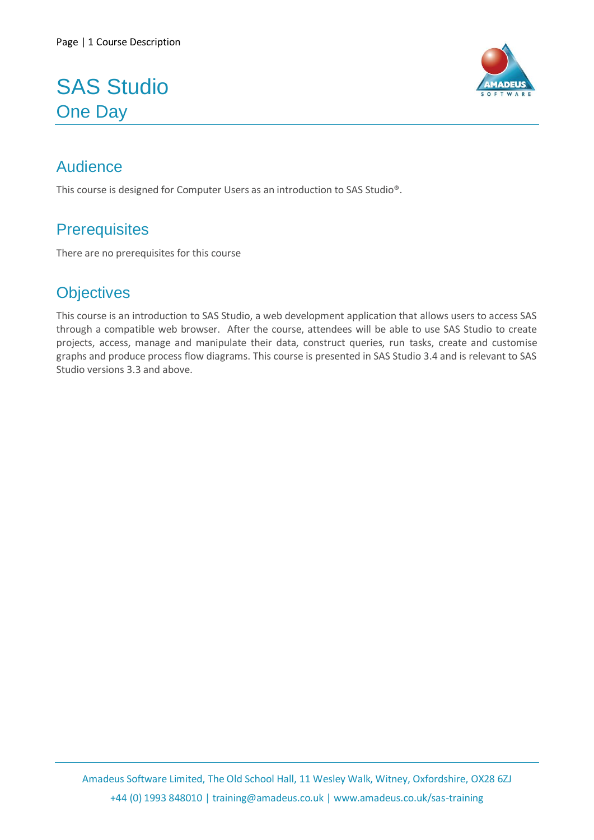# SAS Studio One Day



## Audience

This course is designed for Computer Users as an introduction to SAS Studio®.

## **Prerequisites**

There are no prerequisites for this course

## **Objectives**

This course is an introduction to SAS Studio, a web development application that allows users to access SAS through a compatible web browser. After the course, attendees will be able to use SAS Studio to create projects, access, manage and manipulate their data, construct queries, run tasks, create and customise graphs and produce process flow diagrams. This course is presented in SAS Studio 3.4 and is relevant to SAS Studio versions 3.3 and above.